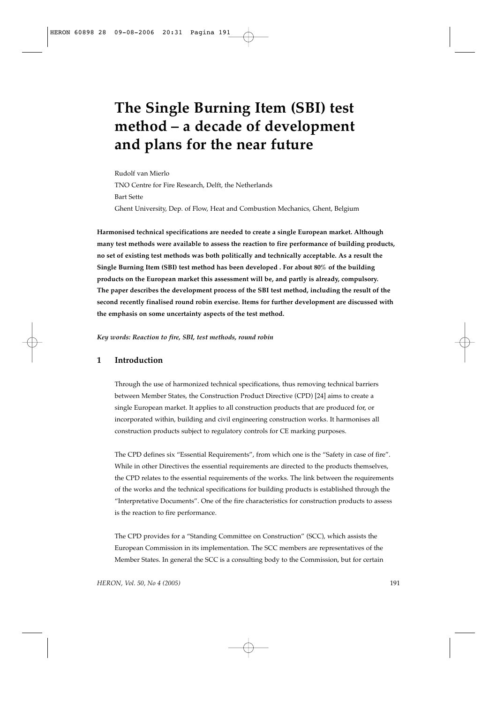# **The Single Burning Item (SBI) test method – a decade of development and plans for the near future**

Rudolf van Mierlo TNO Centre for Fire Research, Delft, the Netherlands Bart Sette Ghent University, Dep. of Flow, Heat and Combustion Mechanics, Ghent, Belgium

**Harmonised technical specifications are needed to create a single European market. Although many test methods were available to assess the reaction to fire performance of building products, no set of existing test methods was both politically and technically acceptable. As a result the Single Burning Item (SBI) test method has been developed . For about 80% of the building products on the European market this assessment will be, and partly is already, compulsory. The paper describes the development process of the SBI test method, including the result of the second recently finalised round robin exercise. Items for further development are discussed with the emphasis on some uncertainty aspects of the test method.**

*Key words: Reaction to fire, SBI, test methods, round robin*

# **1 Introduction**

Through the use of harmonized technical specifications, thus removing technical barriers between Member States, the Construction Product Directive (CPD) [24] aims to create a single European market. It applies to all construction products that are produced for, or incorporated within, building and civil engineering construction works. It harmonises all construction products subject to regulatory controls for CE marking purposes.

The CPD defines six "Essential Requirements", from which one is the "Safety in case of fire". While in other Directives the essential requirements are directed to the products themselves, the CPD relates to the essential requirements of the works. The link between the requirements of the works and the technical specifications for building products is established through the "Interpretative Documents". One of the fire characteristics for construction products to assess is the reaction to fire performance.

The CPD provides for a "Standing Committee on Construction" (SCC), which assists the European Commission in its implementation. The SCC members are representatives of the Member States. In general the SCC is a consulting body to the Commission, but for certain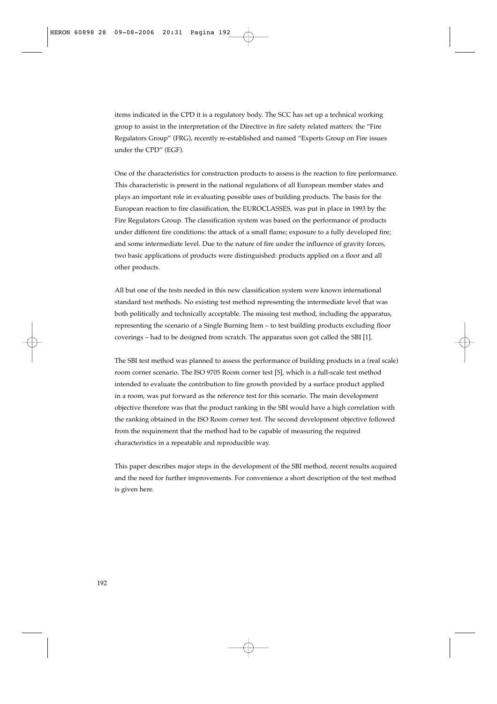items indicated in the CPD it is a regulatory body. The SCC has set up a technical working group to assist in the interpretation of the Directive in fire safety related matters: the "Fire Regulators Group" (FRG), recently re-established and named "Experts Group on Fire issues under the CPD" (EGF).

One of the characteristics for construction products to assess is the reaction to fire performance. This characteristic is present in the national regulations of all European member states and plays an important role in evaluating possible uses of building products. The basis for the European reaction to fire classification, the EUROCLASSES, was put in place in 1993 by the Fire Regulators Group. The classification system was based on the performance of products under different fire conditions: the attack of a small flame; exposure to a fully developed fire; and some intermediate level. Due to the nature of fire under the influence of gravity forces, two basic applications of products were distinguished: products applied on a floor and all other products.

All but one of the tests needed in this new classification system were known international standard test methods. No existing test method representing the intermediate level that was both politically and technically acceptable. The missing test method, including the apparatus, representing the scenario of a Single Burning Item – to test building products excluding floor coverings – had to be designed from scratch. The apparatus soon got called the SBI [1].

The SBI test method was planned to assess the performance of building products in a (real scale) room corner scenario. The ISO 9705 Room corner test [5], which is a full-scale test method intended to evaluate the contribution to fire growth provided by a surface product applied in a room, was put forward as the reference test for this scenario. The main development objective therefore was that the product ranking in the SBI would have a high correlation with the ranking obtained in the ISO Room corner test. The second development objective followed from the requirement that the method had to be capable of measuring the required characteristics in a repeatable and reproducible way.

This paper describes major steps in the development of the SBI method, recent results acquired and the need for further improvements. For convenience a short description of the test method is given here.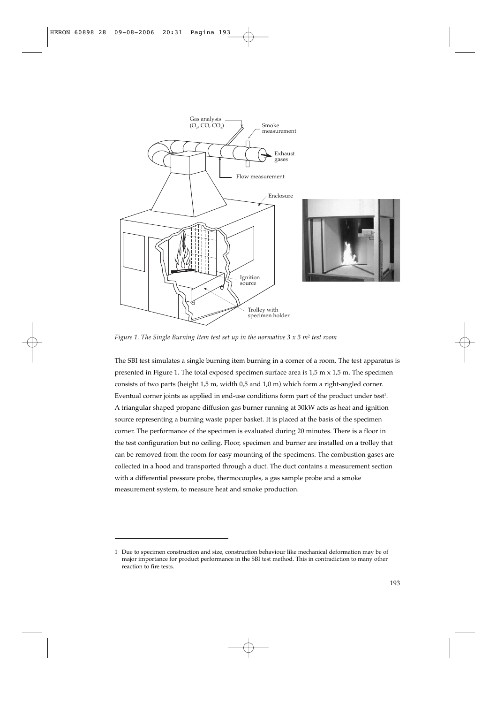

*Figure 1. The Single Burning Item test set up in the normative 3 x 3 m*<sup>2</sup> *test room*

The SBI test simulates a single burning item burning in a corner of a room. The test apparatus is presented in Figure 1. The total exposed specimen surface area is 1,5 m x 1,5 m. The specimen consists of two parts (height 1,5 m, width 0,5 and 1,0 m) which form a right-angled corner. Eventual corner joints as applied in end-use conditions form part of the product under test<sup>1</sup>. A triangular shaped propane diffusion gas burner running at 30kW acts as heat and ignition source representing a burning waste paper basket. It is placed at the basis of the specimen corner. The performance of the specimen is evaluated during 20 minutes. There is a floor in the test configuration but no ceiling. Floor, specimen and burner are installed on a trolley that can be removed from the room for easy mounting of the specimens. The combustion gases are collected in a hood and transported through a duct. The duct contains a measurement section with a differential pressure probe, thermocouples, a gas sample probe and a smoke measurement system, to measure heat and smoke production.

<sup>1</sup> Due to specimen construction and size, construction behaviour like mechanical deformation may be of major importance for product performance in the SBI test method. This in contradiction to many other reaction to fire tests.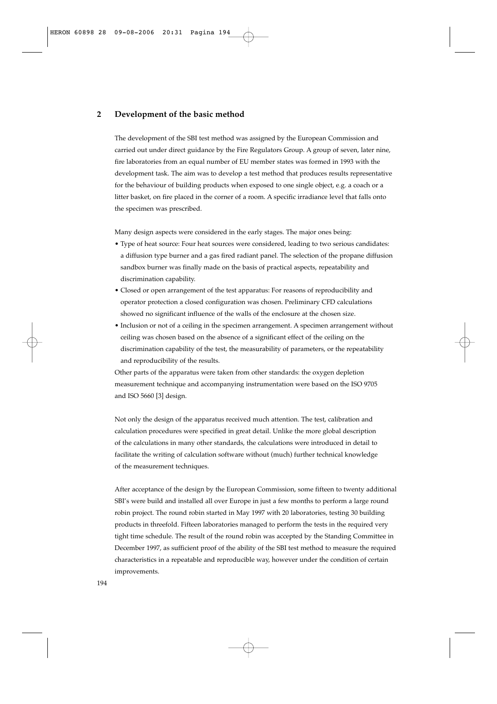## **2 Development of the basic method**

The development of the SBI test method was assigned by the European Commission and carried out under direct guidance by the Fire Regulators Group. A group of seven, later nine, fire laboratories from an equal number of EU member states was formed in 1993 with the development task. The aim was to develop a test method that produces results representative for the behaviour of building products when exposed to one single object, e.g. a coach or a litter basket, on fire placed in the corner of a room. A specific irradiance level that falls onto the specimen was prescribed.

Many design aspects were considered in the early stages. The major ones being:

- Type of heat source: Four heat sources were considered, leading to two serious candidates: a diffusion type burner and a gas fired radiant panel. The selection of the propane diffusion sandbox burner was finally made on the basis of practical aspects, repeatability and discrimination capability.
- Closed or open arrangement of the test apparatus: For reasons of reproducibility and operator protection a closed configuration was chosen. Preliminary CFD calculations showed no significant influence of the walls of the enclosure at the chosen size.
- Inclusion or not of a ceiling in the specimen arrangement. A specimen arrangement without ceiling was chosen based on the absence of a significant effect of the ceiling on the discrimination capability of the test, the measurability of parameters, or the repeatability and reproducibility of the results.

Other parts of the apparatus were taken from other standards: the oxygen depletion measurement technique and accompanying instrumentation were based on the ISO 9705 and ISO 5660 [3] design.

Not only the design of the apparatus received much attention. The test, calibration and calculation procedures were specified in great detail. Unlike the more global description of the calculations in many other standards, the calculations were introduced in detail to facilitate the writing of calculation software without (much) further technical knowledge of the measurement techniques.

After acceptance of the design by the European Commission, some fifteen to twenty additional SBI's were build and installed all over Europe in just a few months to perform a large round robin project. The round robin started in May 1997 with 20 laboratories, testing 30 building products in threefold. Fifteen laboratories managed to perform the tests in the required very tight time schedule. The result of the round robin was accepted by the Standing Committee in December 1997, as sufficient proof of the ability of the SBI test method to measure the required characteristics in a repeatable and reproducible way, however under the condition of certain improvements.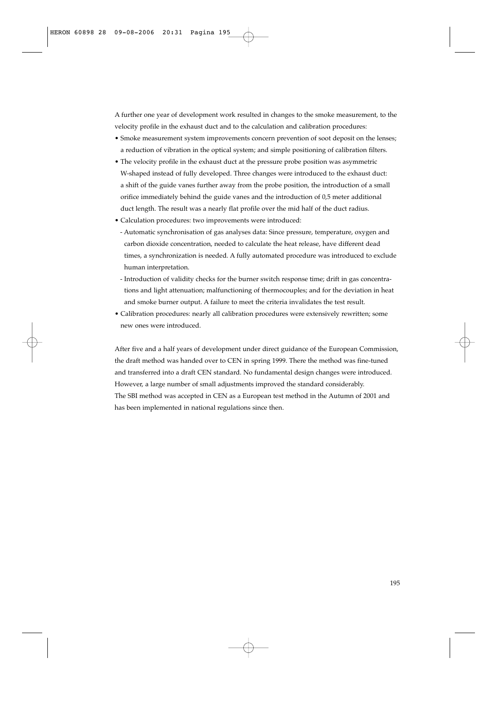A further one year of development work resulted in changes to the smoke measurement, to the velocity profile in the exhaust duct and to the calculation and calibration procedures:

- Smoke measurement system improvements concern prevention of soot deposit on the lenses; a reduction of vibration in the optical system; and simple positioning of calibration filters.
- The velocity profile in the exhaust duct at the pressure probe position was asymmetric W-shaped instead of fully developed. Three changes were introduced to the exhaust duct: a shift of the guide vanes further away from the probe position, the introduction of a small orifice immediately behind the guide vanes and the introduction of 0,5 meter additional duct length. The result was a nearly flat profile over the mid half of the duct radius.
- Calculation procedures: two improvements were introduced:
- Automatic synchronisation of gas analyses data: Since pressure, temperature, oxygen and carbon dioxide concentration, needed to calculate the heat release, have different dead times, a synchronization is needed. A fully automated procedure was introduced to exclude human interpretation.
- Introduction of validity checks for the burner switch response time; drift in gas concentrations and light attenuation; malfunctioning of thermocouples; and for the deviation in heat and smoke burner output. A failure to meet the criteria invalidates the test result.
- Calibration procedures: nearly all calibration procedures were extensively rewritten; some new ones were introduced.

After five and a half years of development under direct guidance of the European Commission, the draft method was handed over to CEN in spring 1999. There the method was fine-tuned and transferred into a draft CEN standard. No fundamental design changes were introduced. However, a large number of small adjustments improved the standard considerably. The SBI method was accepted in CEN as a European test method in the Autumn of 2001 and has been implemented in national regulations since then.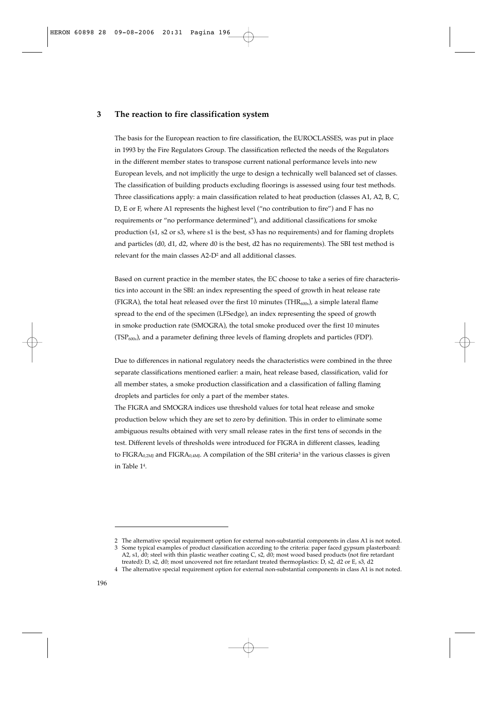## **3 The reaction to fire classification system**

The basis for the European reaction to fire classification, the EUROCLASSES, was put in place in 1993 by the Fire Regulators Group. The classification reflected the needs of the Regulators in the different member states to transpose current national performance levels into new European levels, and not implicitly the urge to design a technically well balanced set of classes. The classification of building products excluding floorings is assessed using four test methods. Three classifications apply: a main classification related to heat production (classes A1, A2, B, C, D, E or F, where A1 represents the highest level ("no contribution to fire") and F has no requirements or "no performance determined"), and additional classifications for smoke production (s1, s2 or s3, where s1 is the best, s3 has no requirements) and for flaming droplets and particles (d0, d1, d2, where d0 is the best, d2 has no requirements). The SBI test method is relevant for the main classes A2-D2 and all additional classes.

Based on current practice in the member states, the EC choose to take a series of fire characteristics into account in the SBI: an index representing the speed of growth in heat release rate (FIGRA), the total heat released over the first 10 minutes (THR<sub>600s</sub>), a simple lateral flame spread to the end of the specimen (LFSedge), an index representing the speed of growth in smoke production rate (SMOGRA), the total smoke produced over the first 10 minutes (TSP600s), and a parameter defining three levels of flaming droplets and particles (FDP).

Due to differences in national regulatory needs the characteristics were combined in the three separate classifications mentioned earlier: a main, heat release based, classification, valid for all member states, a smoke production classification and a classification of falling flaming droplets and particles for only a part of the member states.

The FIGRA and SMOGRA indices use threshold values for total heat release and smoke production below which they are set to zero by definition. This in order to eliminate some ambiguous results obtained with very small release rates in the first tens of seconds in the test. Different levels of thresholds were introduced for FIGRA in different classes, leading to FIGRA<sub>0,2MJ</sub> and FIGRA<sub>0,4MJ</sub>. A compilation of the SBI criteria<sup>3</sup> in the various classes is given in Table 14.

<sup>2</sup> The alternative special requirement option for external non-substantial components in class A1 is not noted.

<sup>3</sup> Some typical examples of product classification according to the criteria: paper faced gypsum plasterboard: A2, s1, d0; steel with thin plastic weather coating C, s2, d0; most wood based products (not fire retardant treated): D, s2, d0; most uncovered not fire retardant treated thermoplastics: D, s2, d2 or E, s3, d2

<sup>4</sup> The alternative special requirement option for external non-substantial components in class A1 is not noted.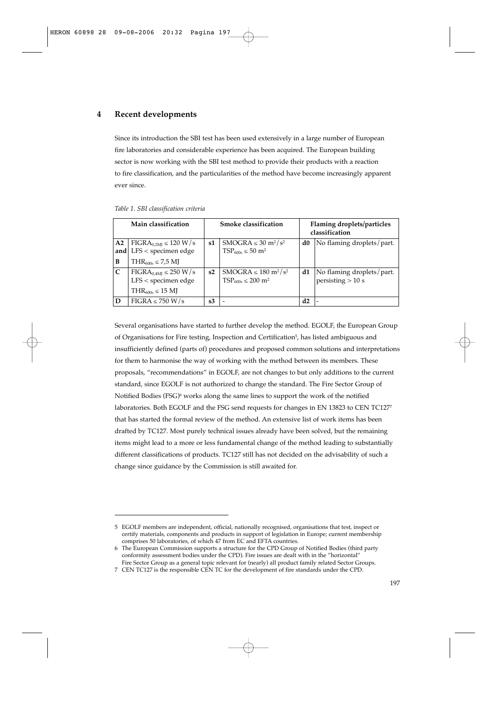## **4 Recent developments**

Since its introduction the SBI test has been used extensively in a large number of European fire laboratories and considerable experience has been acquired. The European building sector is now working with the SBI test method to provide their products with a reaction to fire classification, and the particularities of the method have become increasingly apparent ever since.

| Main classification |                                                                                  | <b>Smoke classification</b> |                                                                                       | Flaming droplets/particles<br>classification |                                                  |
|---------------------|----------------------------------------------------------------------------------|-----------------------------|---------------------------------------------------------------------------------------|----------------------------------------------|--------------------------------------------------|
| A <sub>2</sub>      | $FIGRA_{0.2MI} \leq 120 W/s$<br>$LFS <$ specimen edge                            | s1                          | $SMOGRA \leq 30 \frac{m^2}{s^2}$<br>$TSP600s \leq 50$ m <sup>2</sup>                  | d0                                           | No flaming droplets/part.                        |
| and<br>B            | $THR_{600s} \leq 7.5$ MJ                                                         |                             |                                                                                       |                                              |                                                  |
| $\mathsf{C}$        | $FIGRA_{0,4MJ} \leq 250 W/s$<br>$LFS <$ specimen edge<br>$THR_{600s} \leq 15$ MJ | s2                          | SMOGRA $\leq 180$ m <sup>2</sup> /s <sup>2</sup><br>$TSP_{600s} \leq 200 \text{ m}^2$ | d1                                           | No flaming droplets/part.<br>persisting $> 10$ s |
| D                   | $FIGRA \leq 750 W/s$                                                             | s3                          |                                                                                       | d2                                           |                                                  |

|  | Table 1. SBI classification criteria |  |
|--|--------------------------------------|--|
|  |                                      |  |

Several organisations have started to further develop the method. EGOLF, the European Group of Organisations for Fire testing, Inspection and Certification<sup>5</sup>, has listed ambiguous and insufficiently defined (parts of) procedures and proposed common solutions and interpretations for them to harmonise the way of working with the method between its members. These proposals, "recommendations" in EGOLF, are not changes to but only additions to the current standard, since EGOLF is not authorized to change the standard. The Fire Sector Group of Notified Bodies (FSG)<sup>6</sup> works along the same lines to support the work of the notified laboratories. Both EGOLF and the FSG send requests for changes in EN 13823 to CEN TC1277 that has started the formal review of the method. An extensive list of work items has been drafted by TC127. Most purely technical issues already have been solved, but the remaining items might lead to a more or less fundamental change of the method leading to substantially different classifications of products. TC127 still has not decided on the advisability of such a change since guidance by the Commission is still awaited for.

<sup>5</sup> EGOLF members are independent, official, nationally recognised, organisations that test, inspect or certify materials, components and products in support of legislation in Europe; current membership comprises 50 laboratories, of which 47 from EC and EFTA countries.

<sup>6</sup> The European Commission supports a structure for the CPD Group of Notified Bodies (third party conformity assessment bodies under the CPD). Fire issues are dealt with in the "horizontal" Fire Sector Group as a general topic relevant for (nearly) all product family related Sector Groups.

<sup>7</sup> CEN TC127 is the responsible CEN TC for the development of fire standards under the CPD.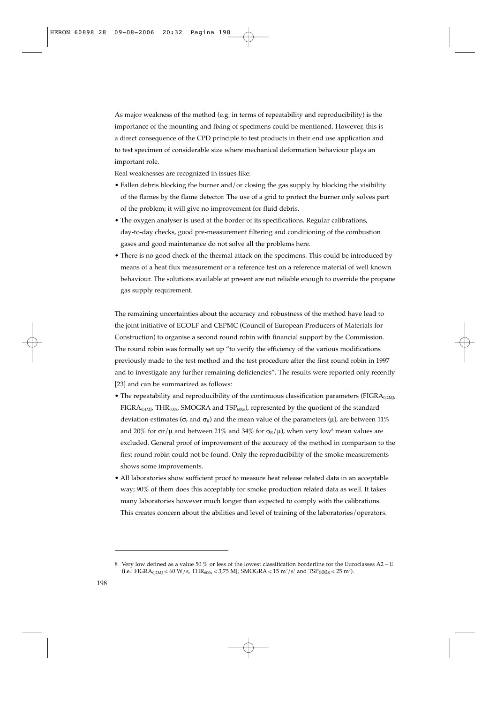As major weakness of the method (e.g. in terms of repeatability and reproducibility) is the importance of the mounting and fixing of specimens could be mentioned. However, this is a direct consequence of the CPD principle to test products in their end use application and to test specimen of considerable size where mechanical deformation behaviour plays an important role.

Real weaknesses are recognized in issues like:

- Fallen debris blocking the burner and/or closing the gas supply by blocking the visibility of the flames by the flame detector. The use of a grid to protect the burner only solves part of the problem; it will give no improvement for fluid debris.
- The oxygen analyser is used at the border of its specifications. Regular calibrations, day-to-day checks, good pre-measurement filtering and conditioning of the combustion gases and good maintenance do not solve all the problems here.
- There is no good check of the thermal attack on the specimens. This could be introduced by means of a heat flux measurement or a reference test on a reference material of well known behaviour. The solutions available at present are not reliable enough to override the propane gas supply requirement.

The remaining uncertainties about the accuracy and robustness of the method have lead to the joint initiative of EGOLF and CEPMC (Council of European Producers of Materials for Construction) to organise a second round robin with financial support by the Commission. The round robin was formally set up "to verify the efficiency of the various modifications previously made to the test method and the test procedure after the first round robin in 1997 and to investigate any further remaining deficiencies". The results were reported only recently [23] and can be summarized as follows:

- The repeatability and reproducibility of the continuous classification parameters ( $FIGRA_{0.2ML}$  $FIGRA<sub>0.4ML</sub> *THR<sub>600s</sub> SMOGRA* and  $TSP<sub>600s</sub>$ *),* represented by the quotient of the standard$ deviation estimates ( $\sigma_r$  and  $\sigma_R$ ) and the mean value of the parameters ( $\mu$ ), are between 11% and 20% for  $\sigma r/\mu$  and between 21% and 34% for  $\sigma_R/\mu$ ), when very low<sup>8</sup> mean values are excluded. General proof of improvement of the accuracy of the method in comparison to the first round robin could not be found. Only the reproducibility of the smoke measurements shows some improvements.
- All laboratories show sufficient proof to measure heat release related data in an acceptable way; 90% of them does this acceptably for smoke production related data as well. It takes many laboratories however much longer than expected to comply with the calibrations. This creates concern about the abilities and level of training of the laboratories/operators.

<sup>8</sup> Very low defined as a value 50 % or less of the lowest classification borderline for the Euroclasses A2 – E (i.e.: FIGRA<sub>0,2MJ</sub> ≤ 60 W/s, THR<sub>600s</sub> ≤ 3,75 MJ, SMOGRA ≤ 15 m<sup>2</sup>/s<sup>2</sup> and TSP<sub>600s</sub> ≤ 25 m<sup>2</sup>).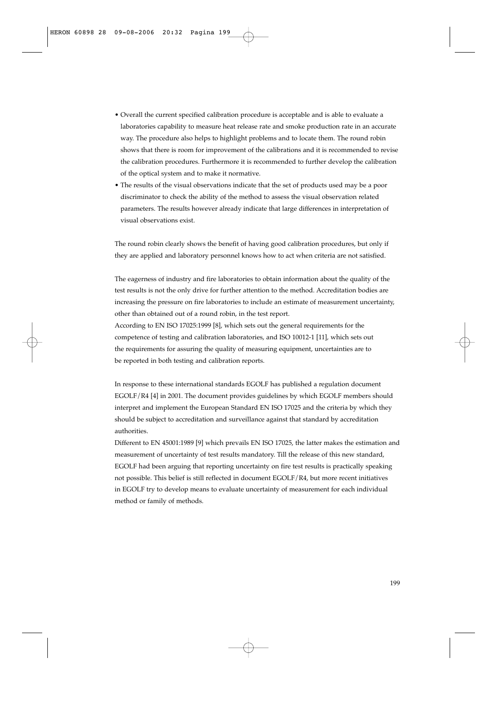- Overall the current specified calibration procedure is acceptable and is able to evaluate a laboratories capability to measure heat release rate and smoke production rate in an accurate way. The procedure also helps to highlight problems and to locate them. The round robin shows that there is room for improvement of the calibrations and it is recommended to revise the calibration procedures. Furthermore it is recommended to further develop the calibration of the optical system and to make it normative.
- The results of the visual observations indicate that the set of products used may be a poor discriminator to check the ability of the method to assess the visual observation related parameters. The results however already indicate that large differences in interpretation of visual observations exist.

The round robin clearly shows the benefit of having good calibration procedures, but only if they are applied and laboratory personnel knows how to act when criteria are not satisfied.

The eagerness of industry and fire laboratories to obtain information about the quality of the test results is not the only drive for further attention to the method. Accreditation bodies are increasing the pressure on fire laboratories to include an estimate of measurement uncertainty, other than obtained out of a round robin, in the test report.

According to EN ISO 17025:1999 [8], which sets out the general requirements for the competence of testing and calibration laboratories, and ISO 10012-1 [11], which sets out the requirements for assuring the quality of measuring equipment, uncertainties are to be reported in both testing and calibration reports.

In response to these international standards EGOLF has published a regulation document EGOLF/R4 [4] in 2001. The document provides guidelines by which EGOLF members should interpret and implement the European Standard EN ISO 17025 and the criteria by which they should be subject to accreditation and surveillance against that standard by accreditation authorities.

Different to EN 45001:1989 [9] which prevails EN ISO 17025, the latter makes the estimation and measurement of uncertainty of test results mandatory. Till the release of this new standard, EGOLF had been arguing that reporting uncertainty on fire test results is practically speaking not possible. This belief is still reflected in document EGOLF/R4, but more recent initiatives in EGOLF try to develop means to evaluate uncertainty of measurement for each individual method or family of methods.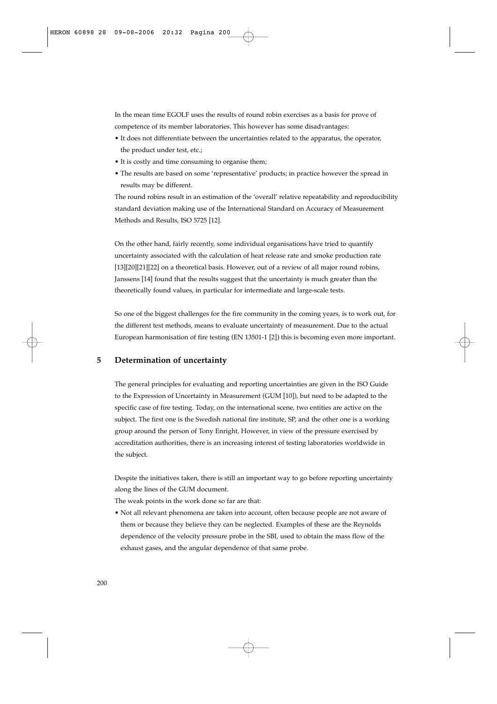In the mean time EGOLF uses the results of round robin exercises as a basis for prove of competence of its member laboratories. This however has some disadvantages:

- It does not differentiate between the uncertainties related to the apparatus, the operator, the product under test, etc.;
- It is costly and time consuming to organise them;
- The results are based on some 'representative' products; in practice however the spread in results may be different.

The round robins result in an estimation of the 'overall' relative repeatability and reproducibility standard deviation making use of the International Standard on Accuracy of Measurement Methods and Results, ISO 5725 [12].

On the other hand, fairly recently, some individual organisations have tried to quantify uncertainty associated with the calculation of heat release rate and smoke production rate [13][20][21][22] on a theoretical basis. However, out of a review of all major round robins, Janssens [14] found that the results suggest that the uncertainty is much greater than the theoretically found values, in particular for intermediate and large-scale tests.

So one of the biggest challenges for the fire community in the coming years, is to work out, for the different test methods, means to evaluate uncertainty of measurement. Due to the actual European harmonisation of fire testing (EN 13501-1 [2]) this is becoming even more important.

# **5 Determination of uncertainty**

The general principles for evaluating and reporting uncertainties are given in the ISO Guide to the Expression of Uncertainty in Measurement (GUM [10]), but need to be adapted to the specific case of fire testing. Today, on the international scene, two entities are active on the subject. The first one is the Swedish national fire institute, SP, and the other one is a working group around the person of Tony Enright. However, in view of the pressure exercised by accreditation authorities, there is an increasing interest of testing laboratories worldwide in the subject.

Despite the initiatives taken, there is still an important way to go before reporting uncertainty along the lines of the GUM document.

The weak points in the work done so far are that:

• Not all relevant phenomena are taken into account, often because people are not aware of them or because they believe they can be neglected. Examples of these are the Reynolds dependence of the velocity pressure probe in the SBI, used to obtain the mass flow of the exhaust gases, and the angular dependence of that same probe.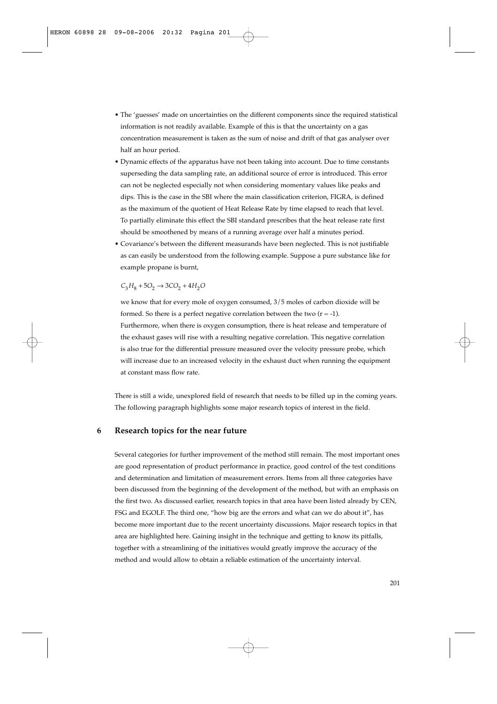- The 'guesses' made on uncertainties on the different components since the required statistical information is not readily available. Example of this is that the uncertainty on a gas concentration measurement is taken as the sum of noise and drift of that gas analyser over half an hour period.
- Dynamic effects of the apparatus have not been taking into account. Due to time constants superseding the data sampling rate, an additional source of error is introduced. This error can not be neglected especially not when considering momentary values like peaks and dips. This is the case in the SBI where the main classification criterion, FIGRA, is defined as the maximum of the quotient of Heat Release Rate by time elapsed to reach that level. To partially eliminate this effect the SBI standard prescribes that the heat release rate first should be smoothened by means of a running average over half a minutes period.
- Covariance's between the different measurands have been neglected. This is not justifiable as can easily be understood from the following example. Suppose a pure substance like for example propane is burnt,

 $C_3H_8 + 5O_2 \rightarrow 3CO_2 + 4H_2O$ 

we know that for every mole of oxygen consumed,  $3/5$  moles of carbon dioxide will be formed. So there is a perfect negative correlation between the two  $(r = -1)$ .

• Furthermore, when there is oxygen consumption, there is heat release and temperature of the exhaust gases will rise with a resulting negative correlation. This negative correlation is also true for the differential pressure measured over the velocity pressure probe, which will increase due to an increased velocity in the exhaust duct when running the equipment at constant mass flow rate.

There is still a wide, unexplored field of research that needs to be filled up in the coming years. The following paragraph highlights some major research topics of interest in the field.

# **6 Research topics for the near future**

Several categories for further improvement of the method still remain. The most important ones are good representation of product performance in practice, good control of the test conditions and determination and limitation of measurement errors. Items from all three categories have been discussed from the beginning of the development of the method, but with an emphasis on the first two. As discussed earlier, research topics in that area have been listed already by CEN, FSG and EGOLF. The third one, "how big are the errors and what can we do about it", has become more important due to the recent uncertainty discussions. Major research topics in that area are highlighted here. Gaining insight in the technique and getting to know its pitfalls, together with a streamlining of the initiatives would greatly improve the accuracy of the method and would allow to obtain a reliable estimation of the uncertainty interval.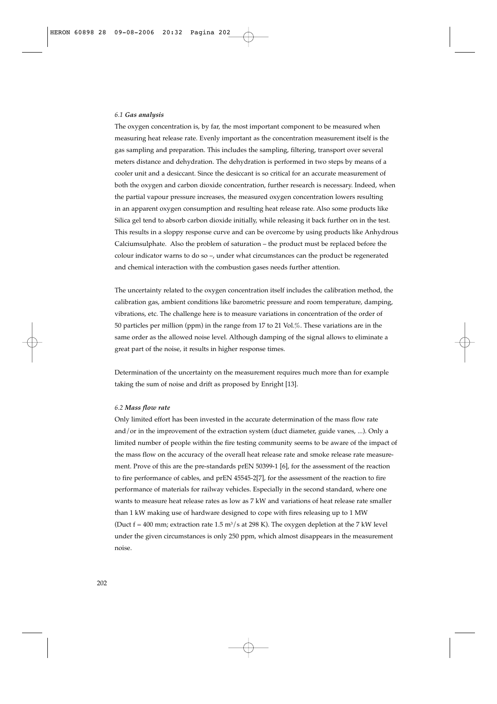#### *6.1 Gas analysis*

The oxygen concentration is, by far, the most important component to be measured when measuring heat release rate. Evenly important as the concentration measurement itself is the gas sampling and preparation. This includes the sampling, filtering, transport over several meters distance and dehydration. The dehydration is performed in two steps by means of a cooler unit and a desiccant. Since the desiccant is so critical for an accurate measurement of both the oxygen and carbon dioxide concentration, further research is necessary. Indeed, when the partial vapour pressure increases, the measured oxygen concentration lowers resulting in an apparent oxygen consumption and resulting heat release rate. Also some products like Silica gel tend to absorb carbon dioxide initially, while releasing it back further on in the test. This results in a sloppy response curve and can be overcome by using products like Anhydrous Calciumsulphate. Also the problem of saturation – the product must be replaced before the colour indicator warns to do so –, under what circumstances can the product be regenerated and chemical interaction with the combustion gases needs further attention.

The uncertainty related to the oxygen concentration itself includes the calibration method, the calibration gas, ambient conditions like barometric pressure and room temperature, damping, vibrations, etc. The challenge here is to measure variations in concentration of the order of 50 particles per million (ppm) in the range from 17 to 21 Vol.%. These variations are in the same order as the allowed noise level. Although damping of the signal allows to eliminate a great part of the noise, it results in higher response times.

Determination of the uncertainty on the measurement requires much more than for example taking the sum of noise and drift as proposed by Enright [13].

#### *6.2 Mass flow rate*

Only limited effort has been invested in the accurate determination of the mass flow rate and/or in the improvement of the extraction system (duct diameter, guide vanes, ...). Only a limited number of people within the fire testing community seems to be aware of the impact of the mass flow on the accuracy of the overall heat release rate and smoke release rate measurement. Prove of this are the pre-standards prEN 50399-1 [6], for the assessment of the reaction to fire performance of cables, and prEN 45545-2[7], for the assessment of the reaction to fire performance of materials for railway vehicles. Especially in the second standard, where one wants to measure heat release rates as low as 7 kW and variations of heat release rate smaller than 1 kW making use of hardware designed to cope with fires releasing up to 1 MW (Duct  $f = 400$  mm; extraction rate 1.5 m<sup>3</sup>/s at 298 K). The oxygen depletion at the 7 kW level under the given circumstances is only 250 ppm, which almost disappears in the measurement noise.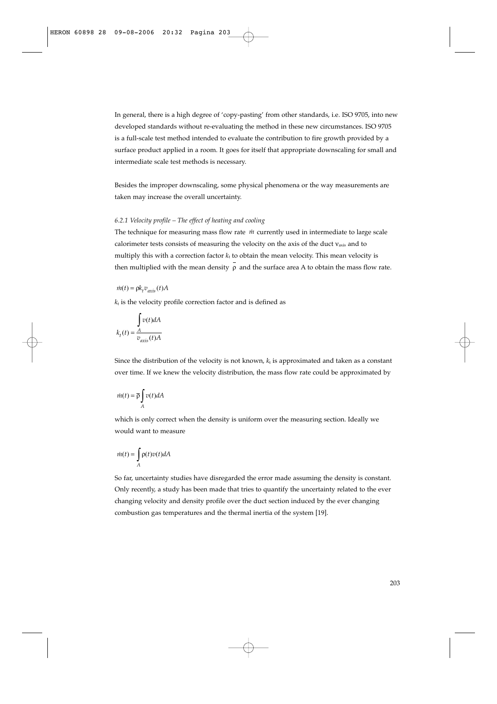In general, there is a high degree of 'copy-pasting' from other standards, i.e. ISO 9705, into new developed standards without re-evaluating the method in these new circumstances. ISO 9705 is a full-scale test method intended to evaluate the contribution to fire growth provided by a surface product applied in a room. It goes for itself that appropriate downscaling for small and intermediate scale test methods is necessary.

Besides the improper downscaling, some physical phenomena or the way measurements are taken may increase the overall uncertainty.

## *6.2.1 Velocity profile – The effect of heating and cooling*

The technique for measuring mass flow rate *in* currently used in intermediate to large scale calorimeter tests consists of measuring the velocity on the axis of the duct  $v_{axis}$  and to multiply this with a correction factor  $k_t$  to obtain the mean velocity. This mean velocity is then multiplied with the mean density  $\rho$  and the surface area A to obtain the mass flow rate.

$$
\dot{m}(t) = \bar{\rho} k_t v_{axis}(t) A
$$

 $k_t$  is the velocity profile correction factor and is defined as

$$
\int_{k_t}(t) = \frac{A}{v_{axis}(t)A}
$$

Since the distribution of the velocity is not known,  $k_t$  is approximated and taken as a constant over time. If we knew the velocity distribution, the mass flow rate could be approximated by

$$
\dot{m}(t) = \overline{\rho} \int_{A} v(t) dA
$$

which is only correct when the density is uniform over the measuring section. Ideally we would want to measure

$$
\dot{m}(t) = \int_A \rho(t) v(t) dA
$$

So far, uncertainty studies have disregarded the error made assuming the density is constant. Only recently, a study has been made that tries to quantify the uncertainty related to the ever changing velocity and density profile over the duct section induced by the ever changing combustion gas temperatures and the thermal inertia of the system [19].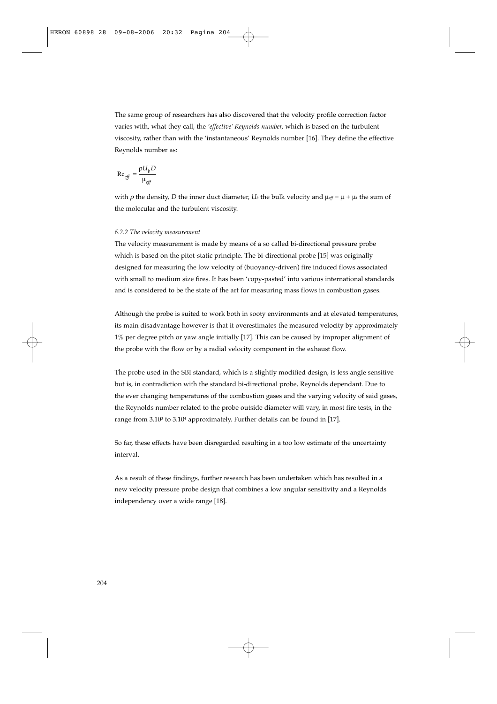The same group of researchers has also discovered that the velocity profile correction factor varies with, what they call, the *'effective' Reynolds number,* which is based on the turbulent viscosity, rather than with the 'instantaneous' Reynolds number [16]. They define the effective Reynolds number as:

$$
\text{Re}_{\text{eff}} = \frac{\rho U_b D}{\mu_{\text{eff}}}
$$

with  $\rho$  the density, *D* the inner duct diameter, *U<sub>b</sub>* the bulk velocity and  $\mu_{eff} = \mu + \mu_t$  the sum of the molecular and the turbulent viscosity.

### *6.2.2 The velocity measurement*

The velocity measurement is made by means of a so called bi-directional pressure probe which is based on the pitot-static principle. The bi-directional probe [15] was originally designed for measuring the low velocity of (buoyancy-driven) fire induced flows associated with small to medium size fires. It has been 'copy-pasted' into various international standards and is considered to be the state of the art for measuring mass flows in combustion gases.

Although the probe is suited to work both in sooty environments and at elevated temperatures, its main disadvantage however is that it overestimates the measured velocity by approximately 1% per degree pitch or yaw angle initially [17]. This can be caused by improper alignment of the probe with the flow or by a radial velocity component in the exhaust flow.

The probe used in the SBI standard, which is a slightly modified design, is less angle sensitive but is, in contradiction with the standard bi-directional probe, Reynolds dependant. Due to the ever changing temperatures of the combustion gases and the varying velocity of said gases, the Reynolds number related to the probe outside diameter will vary, in most fire tests, in the range from  $3.10<sup>3</sup>$  to  $3.10<sup>4</sup>$  approximately. Further details can be found in [17].

So far, these effects have been disregarded resulting in a too low estimate of the uncertainty interval.

As a result of these findings, further research has been undertaken which has resulted in a new velocity pressure probe design that combines a low angular sensitivity and a Reynolds independency over a wide range [18].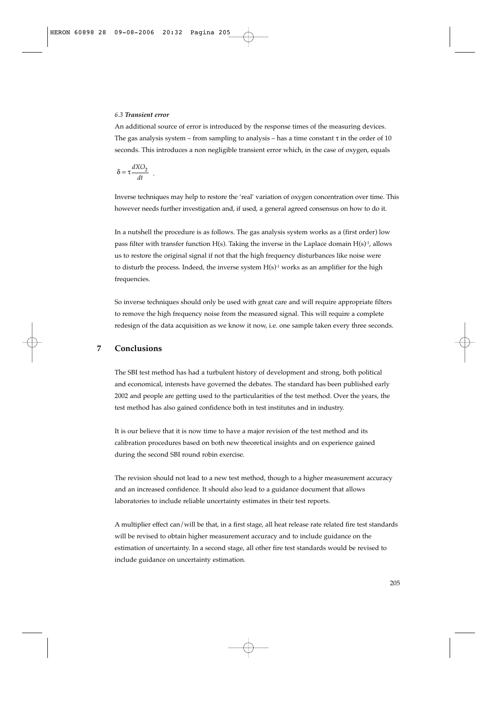#### *6.3 Transient error*

An additional source of error is introduced by the response times of the measuring devices. The gas analysis system – from sampling to analysis – has a time constant  $\tau$  in the order of 10 seconds. This introduces a non negligible transient error which, in the case of oxygen, equals

$$
\delta = \tau \frac{dXO_2}{dt} .
$$

Inverse techniques may help to restore the 'real' variation of oxygen concentration over time. This however needs further investigation and, if used, a general agreed consensus on how to do it.

In a nutshell the procedure is as follows. The gas analysis system works as a (first order) low pass filter with transfer function  $H(s)$ . Taking the inverse in the Laplace domain  $H(s)^{-1}$ , allows us to restore the original signal if not that the high frequency disturbances like noise were to disturb the process. Indeed, the inverse system  $H(s)^{-1}$  works as an amplifier for the high frequencies.

So inverse techniques should only be used with great care and will require appropriate filters to remove the high frequency noise from the measured signal. This will require a complete redesign of the data acquisition as we know it now, i.e. one sample taken every three seconds.

# **7 Conclusions**

The SBI test method has had a turbulent history of development and strong, both political and economical, interests have governed the debates. The standard has been published early 2002 and people are getting used to the particularities of the test method. Over the years, the test method has also gained confidence both in test institutes and in industry.

It is our believe that it is now time to have a major revision of the test method and its calibration procedures based on both new theoretical insights and on experience gained during the second SBI round robin exercise.

The revision should not lead to a new test method, though to a higher measurement accuracy and an increased confidence. It should also lead to a guidance document that allows laboratories to include reliable uncertainty estimates in their test reports.

A multiplier effect can/will be that, in a first stage, all heat release rate related fire test standards will be revised to obtain higher measurement accuracy and to include guidance on the estimation of uncertainty. In a second stage, all other fire test standards would be revised to include guidance on uncertainty estimation.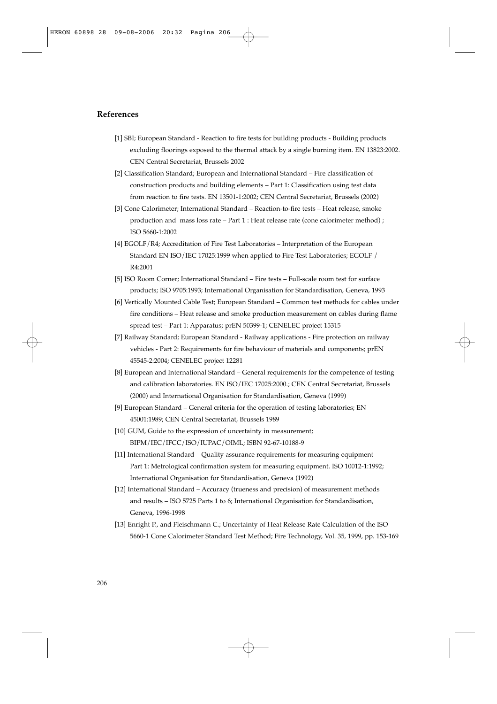# **References**

- [1] SBI; European Standard Reaction to fire tests for building products Building products excluding floorings exposed to the thermal attack by a single burning item. EN 13823:2002. CEN Central Secretariat, Brussels 2002
- [2] Classification Standard; European and International Standard Fire classification of construction products and building elements – Part 1: Classification using test data from reaction to fire tests. EN 13501-1:2002; CEN Central Secretariat, Brussels (2002)
- [3] Cone Calorimeter; International Standard Reaction-to-fire tests Heat release, smoke production and mass loss rate – Part 1 : Heat release rate (cone calorimeter method) ; ISO 5660-1:2002
- [4] EGOLF/R4; Accreditation of Fire Test Laboratories Interpretation of the European Standard EN ISO/IEC 17025:1999 when applied to Fire Test Laboratories; EGOLF / R4:2001
- [5] ISO Room Corner; International Standard Fire tests Full-scale room test for surface products; ISO 9705:1993; International Organisation for Standardisation, Geneva, 1993
- [6] Vertically Mounted Cable Test; European Standard Common test methods for cables under fire conditions – Heat release and smoke production measurement on cables during flame spread test – Part 1: Apparatus; prEN 50399-1; CENELEC project 15315
- [7] Railway Standard; European Standard Railway applications Fire protection on railway vehicles - Part 2: Requirements for fire behaviour of materials and components; prEN 45545-2:2004; CENELEC project 12281
- [8] European and International Standard General requirements for the competence of testing and calibration laboratories. EN ISO/IEC 17025:2000.; CEN Central Secretariat, Brussels (2000) and International Organisation for Standardisation, Geneva (1999)
- [9] European Standard General criteria for the operation of testing laboratories; EN 45001:1989; CEN Central Secretariat, Brussels 1989
- [10] GUM, Guide to the expression of uncertainty in measurement; BIPM/IEC/IFCC/ISO/IUPAC/OIML; ISBN 92-67-10188-9
- [11] International Standard Quality assurance requirements for measuring equipment Part 1: Metrological confirmation system for measuring equipment. ISO 10012-1:1992; International Organisation for Standardisation, Geneva (1992)
- [12] International Standard Accuracy (trueness and precision) of measurement methods and results – ISO 5725 Parts 1 to 6; International Organisation for Standardisation, Geneva, 1996-1998
- [13] Enright P., and Fleischmann C.; Uncertainty of Heat Release Rate Calculation of the ISO 5660-1 Cone Calorimeter Standard Test Method; Fire Technology, Vol. 35, 1999, pp. 153-169